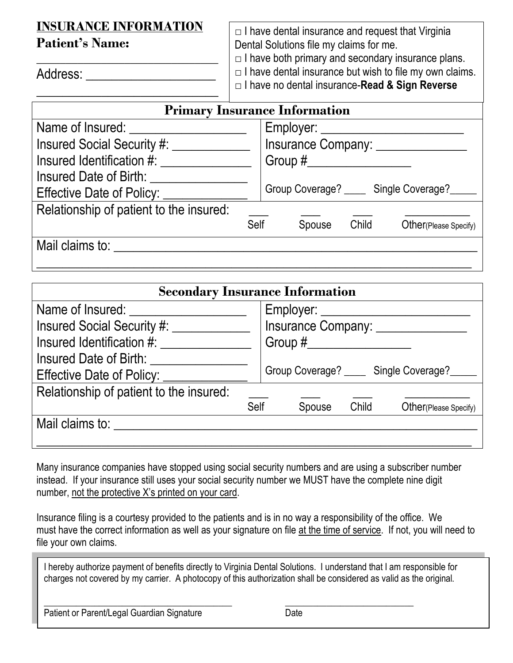# **INSURANCE INFORMATION**

**\_\_\_\_\_\_\_\_\_\_\_\_\_\_\_\_\_\_\_\_\_\_\_\_\_\_\_\_\_\_\_**

\_\_\_\_\_\_\_\_\_\_\_\_\_\_\_\_\_\_\_\_\_\_\_\_\_\_\_\_

**Patient's Name:**

 $\Box$  I have dental insurance and request that Virginia Dental Solutions file my claims for me.

 $\Box$  I have both primary and secondary insurance plans.

 $\Box$  I have dental insurance but wish to file my own claims.

□ I have no dental insurance-**Read & Sign Reverse**

| <b>Primary Insurance Information</b>    |      |                            |       |                                        |  |  |  |
|-----------------------------------------|------|----------------------------|-------|----------------------------------------|--|--|--|
| Name of Insured:                        |      |                            |       |                                        |  |  |  |
| <b>Insured Social Security #:</b>       |      | Insurance Company: _______ |       |                                        |  |  |  |
| Insured Identification #:               |      |                            |       |                                        |  |  |  |
| Insured Date of Birth:                  |      |                            |       |                                        |  |  |  |
| Effective Date of Policy:               |      |                            |       | Group Coverage? _____ Single Coverage? |  |  |  |
| Relationship of patient to the insured: |      |                            |       |                                        |  |  |  |
|                                         | Self | Spouse                     | Child | Other (Please Specify)                 |  |  |  |
| Mail claims to:                         |      |                            |       |                                        |  |  |  |
|                                         |      |                            |       |                                        |  |  |  |

| <b>Secondary Insurance Information</b>  |      |                                  |       |                        |  |  |  |
|-----------------------------------------|------|----------------------------------|-------|------------------------|--|--|--|
| Name of Insured:                        |      | Employer: _________              |       |                        |  |  |  |
| <b>Insured Social Security #:</b>       |      | Insurance Company: ________      |       |                        |  |  |  |
| Insured Identification #:               |      |                                  |       |                        |  |  |  |
| Insured Date of Birth:                  |      |                                  |       |                        |  |  |  |
| Effective Date of Policy:               |      | Group Coverage? Single Coverage? |       |                        |  |  |  |
| Relationship of patient to the insured: |      |                                  |       |                        |  |  |  |
|                                         | Self | Spouse                           | Child | Other (Please Specify) |  |  |  |
| Mail claims to:                         |      |                                  |       |                        |  |  |  |
|                                         |      |                                  |       |                        |  |  |  |

Many insurance companies have stopped using social security numbers and are using a subscriber number instead. If your insurance still uses your social security number we MUST have the complete nine digit number, not the protective X's printed on your card.

Insurance filing is a courtesy provided to the patients and is in no way a responsibility of the office. We must have the correct information as well as your signature on file at the time of service. If not, you will need to file your own claims.

I hereby authorize payment of benefits directly to Virginia Dental Solutions. I understand that I am responsible for charges not covered by my carrier. A photocopy of this authorization shall be considered as valid as the original.

\_\_\_\_\_\_\_\_\_\_\_\_\_\_\_\_\_\_\_\_\_\_\_\_\_\_\_\_\_\_\_\_\_\_\_\_\_\_\_\_\_ \_\_\_\_\_\_\_\_\_\_\_\_\_\_\_\_\_\_\_\_\_\_\_\_\_\_\_\_ Patient or Parent/Legal Guardian Signature Date

Address: